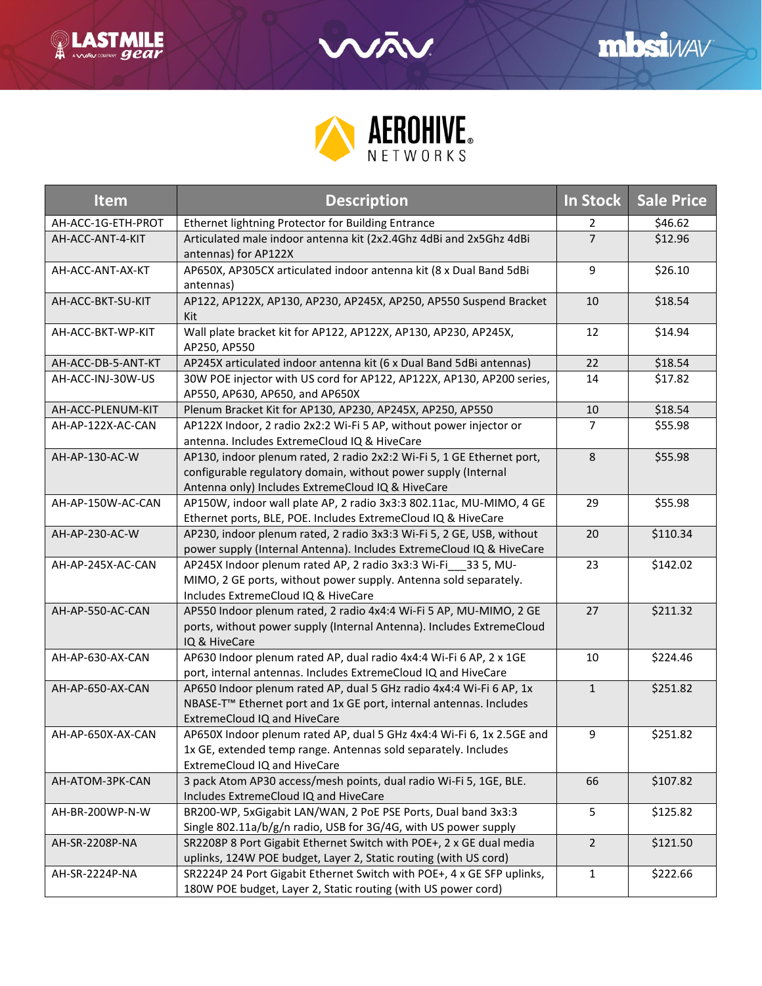



| <b>Item</b>        | <b>Description</b>                                                                                                                                                                            | In Stock       | <b>Sale Price</b> |
|--------------------|-----------------------------------------------------------------------------------------------------------------------------------------------------------------------------------------------|----------------|-------------------|
| AH-ACC-1G-ETH-PROT | Ethernet lightning Protector for Building Entrance                                                                                                                                            | 2              | \$46.62           |
| AH-ACC-ANT-4-KIT   | Articulated male indoor antenna kit (2x2.4Ghz 4dBi and 2x5Ghz 4dBi<br>antennas) for AP122X                                                                                                    | $\overline{7}$ | \$12.96           |
| AH-ACC-ANT-AX-KT   | AP650X, AP305CX articulated indoor antenna kit (8 x Dual Band 5dBi<br>antennas)                                                                                                               | 9              | \$26.10           |
| AH-ACC-BKT-SU-KIT  | AP122, AP122X, AP130, AP230, AP245X, AP250, AP550 Suspend Bracket<br>Kit                                                                                                                      | 10             | \$18.54           |
| AH-ACC-BKT-WP-KIT  | Wall plate bracket kit for AP122, AP122X, AP130, AP230, AP245X,<br>AP250, AP550                                                                                                               | 12             | \$14.94           |
| AH-ACC-DB-5-ANT-KT | AP245X articulated indoor antenna kit (6 x Dual Band 5dBi antennas)                                                                                                                           | 22             | \$18.54           |
| AH-ACC-INJ-30W-US  | 30W POE injector with US cord for AP122, AP122X, AP130, AP200 series,<br>AP550, AP630, AP650, and AP650X                                                                                      | 14             | \$17.82           |
| AH-ACC-PLENUM-KIT  | Plenum Bracket Kit for AP130, AP230, AP245X, AP250, AP550                                                                                                                                     | 10             | \$18.54           |
| AH-AP-122X-AC-CAN  | AP122X Indoor, 2 radio 2x2:2 Wi-Fi 5 AP, without power injector or<br>antenna. Includes ExtremeCloud IQ & HiveCare                                                                            | $\overline{7}$ | \$55.98           |
| AH-AP-130-AC-W     | AP130, indoor plenum rated, 2 radio 2x2:2 Wi-Fi 5, 1 GE Ethernet port,<br>configurable regulatory domain, without power supply (Internal<br>Antenna only) Includes ExtremeCloud IQ & HiveCare | 8              | \$55.98           |
| AH-AP-150W-AC-CAN  | AP150W, indoor wall plate AP, 2 radio 3x3:3 802.11ac, MU-MIMO, 4 GE<br>Ethernet ports, BLE, POE. Includes ExtremeCloud IQ & HiveCare                                                          | 29             | \$55.98           |
| AH-AP-230-AC-W     | AP230, indoor plenum rated, 2 radio 3x3:3 Wi-Fi 5, 2 GE, USB, without<br>power supply (Internal Antenna). Includes ExtremeCloud IQ & HiveCare                                                 | 20             | \$110.34          |
| AH-AP-245X-AC-CAN  | AP245X Indoor plenum rated AP, 2 radio 3x3:3 Wi-Fi 33 5, MU-<br>MIMO, 2 GE ports, without power supply. Antenna sold separately.<br>Includes ExtremeCloud IQ & HiveCare                       | 23             | \$142.02          |
| AH-AP-550-AC-CAN   | AP550 Indoor plenum rated, 2 radio 4x4:4 Wi-Fi 5 AP, MU-MIMO, 2 GE<br>ports, without power supply (Internal Antenna). Includes ExtremeCloud<br>IQ & HiveCare                                  | 27             | \$211.32          |
| AH-AP-630-AX-CAN   | AP630 Indoor plenum rated AP, dual radio 4x4:4 Wi-Fi 6 AP, 2 x 1GE<br>port, internal antennas. Includes ExtremeCloud IQ and HiveCare                                                          | 10             | \$224.46          |
| AH-AP-650-AX-CAN   | AP650 Indoor plenum rated AP, dual 5 GHz radio 4x4:4 Wi-Fi 6 AP, 1x<br>NBASE-T <sup>™</sup> Ethernet port and 1x GE port, internal antennas. Includes<br>ExtremeCloud IQ and HiveCare         | $\mathbf{1}$   | \$251.82          |
| AH-AP-650X-AX-CAN  | AP650X Indoor plenum rated AP, dual 5 GHz 4x4:4 Wi-Fi 6, 1x 2.5GE and<br>1x GE, extended temp range. Antennas sold separately. Includes<br>ExtremeCloud IQ and HiveCare                       | 9              | \$251.82          |
| AH-ATOM-3PK-CAN    | 3 pack Atom AP30 access/mesh points, dual radio Wi-Fi 5, 1GE, BLE.<br>Includes ExtremeCloud IQ and HiveCare                                                                                   | 66             | \$107.82          |
| AH-BR-200WP-N-W    | BR200-WP, 5xGigabit LAN/WAN, 2 PoE PSE Ports, Dual band 3x3:3<br>Single 802.11a/b/g/n radio, USB for 3G/4G, with US power supply                                                              | 5              | \$125.82          |
| AH-SR-2208P-NA     | SR2208P 8 Port Gigabit Ethernet Switch with POE+, 2 x GE dual media<br>uplinks, 124W POE budget, Layer 2, Static routing (with US cord)                                                       | $\overline{2}$ | \$121.50          |
| AH-SR-2224P-NA     | SR2224P 24 Port Gigabit Ethernet Switch with POE+, 4 x GE SFP uplinks,<br>180W POE budget, Layer 2, Static routing (with US power cord)                                                       | $\mathbf{1}$   | \$222.66          |